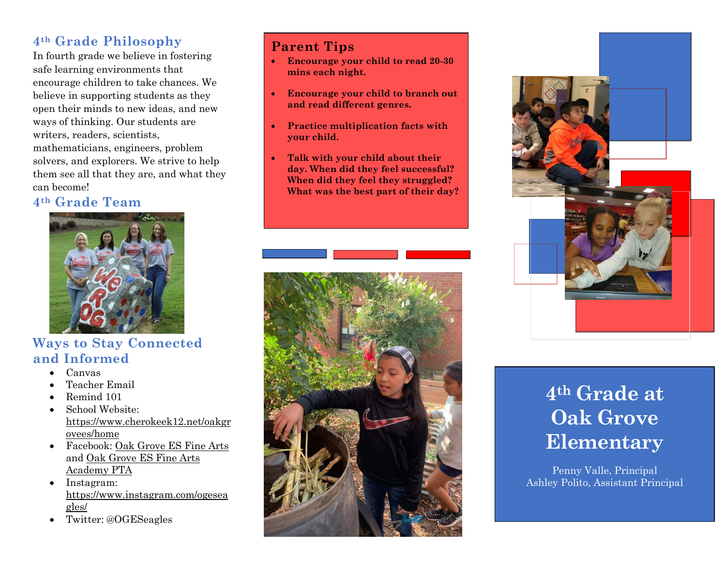# **4th Grade Philosophy**

In fourth grade we believe in fostering safe learning environments that encourage children to take chances. We believe in supporting students as they open their minds to new ideas, and new ways of thinking. Our students are writers, readers, scientists, mathematicians, engineers, problem solvers, and explorers. We strive to help them see all that they are, and what they can become!

## **4th Grade Team**



## **Ways to Stay Connected and Informed**

- Canvas
- Teacher Email
- Remind 101
- School Website: [https://www.cherokeek12.net/oakgr](https://nam02.safelinks.protection.outlook.com/?url=https%3A%2F%2Fwww.cherokeek12.net%2Foakgrovees%2Fhome&data=02%7C01%7CAna.Mirsajedin%40cherokeek12.net%7C4cc9fcc866644cec416108d7831f72c7%7Cafc04b26089b4cd6b9f02a3f280913be%7C0%7C0%7C637122043396166003&sdata=vepVfFuKG9DbeUU5OJbAonKHepKHhLHYKaBe4%2Bzojpc%3D&reserved=0) [ovees/home](https://nam02.safelinks.protection.outlook.com/?url=https%3A%2F%2Fwww.cherokeek12.net%2Foakgrovees%2Fhome&data=02%7C01%7CAna.Mirsajedin%40cherokeek12.net%7C4cc9fcc866644cec416108d7831f72c7%7Cafc04b26089b4cd6b9f02a3f280913be%7C0%7C0%7C637122043396166003&sdata=vepVfFuKG9DbeUU5OJbAonKHepKHhLHYKaBe4%2Bzojpc%3D&reserved=0)
- Facebook: [Oak Grove ES Fine Arts](https://nam02.safelinks.protection.outlook.com/?url=https%3A%2F%2Fwww.facebook.com%2Fprofile.php%3Fid%3D342722105818153%26ref%3Dbr_rs&data=02%7C01%7CAna.Mirsajedin%40cherokeek12.net%7C4cc9fcc866644cec416108d7831f72c7%7Cafc04b26089b4cd6b9f02a3f280913be%7C0%7C0%7C637122043396175998&sdata=7%2FJE9%2FdCRy%2BX3iwI09XvKYy0d24UBIxqxRLbOD9awd8%3D&reserved=0) and [Oak Grove ES Fine Arts](https://nam02.safelinks.protection.outlook.com/?url=https%3A%2F%2Fwww.facebook.com%2Fprofile.php%3Fid%3D110568272342005%26ref%3Dbr_rs&data=02%7C01%7CAna.Mirsajedin%40cherokeek12.net%7C4cc9fcc866644cec416108d7831f72c7%7Cafc04b26089b4cd6b9f02a3f280913be%7C0%7C0%7C637122043396175998&sdata=dhh08JQEwZqMd8RYve0Z1bH2nqegZDlB6QOvDOqyaVs%3D&reserved=0)  [Academy PTA](https://nam02.safelinks.protection.outlook.com/?url=https%3A%2F%2Fwww.facebook.com%2Fprofile.php%3Fid%3D110568272342005%26ref%3Dbr_rs&data=02%7C01%7CAna.Mirsajedin%40cherokeek12.net%7C4cc9fcc866644cec416108d7831f72c7%7Cafc04b26089b4cd6b9f02a3f280913be%7C0%7C0%7C637122043396175998&sdata=dhh08JQEwZqMd8RYve0Z1bH2nqegZDlB6QOvDOqyaVs%3D&reserved=0)
- Instagram: [https://www.instagram.com/ogesea](https://nam02.safelinks.protection.outlook.com/?url=https%3A%2F%2Fwww.instagram.com%2Fogeseagles%2F&data=02%7C01%7CAna.Mirsajedin%40cherokeek12.net%7C4cc9fcc866644cec416108d7831f72c7%7Cafc04b26089b4cd6b9f02a3f280913be%7C0%7C0%7C637122043396185991&sdata=Pe%2BfpJH44WsmLCY71lmRPupZ9pjQWr62JXT9lnPq8Jk%3D&reserved=0) [gles/](https://nam02.safelinks.protection.outlook.com/?url=https%3A%2F%2Fwww.instagram.com%2Fogeseagles%2F&data=02%7C01%7CAna.Mirsajedin%40cherokeek12.net%7C4cc9fcc866644cec416108d7831f72c7%7Cafc04b26089b4cd6b9f02a3f280913be%7C0%7C0%7C637122043396185991&sdata=Pe%2BfpJH44WsmLCY71lmRPupZ9pjQWr62JXT9lnPq8Jk%3D&reserved=0)
- Twitter: @OGESeagles

# **Parent Tips**

- **Encourage your child to read 20-30 mins each night.**
- **Encourage your child to branch out and read different genres.**
- **Practice multiplication facts with your child.**
- **Talk with your child about their day. When did they feel successful? When did they feel they struggled? What was the best part of their day?**





# **4th Grade at Oak Grove Elementary**

Penny Valle, Principal Ashley Polito, Assistant Principal